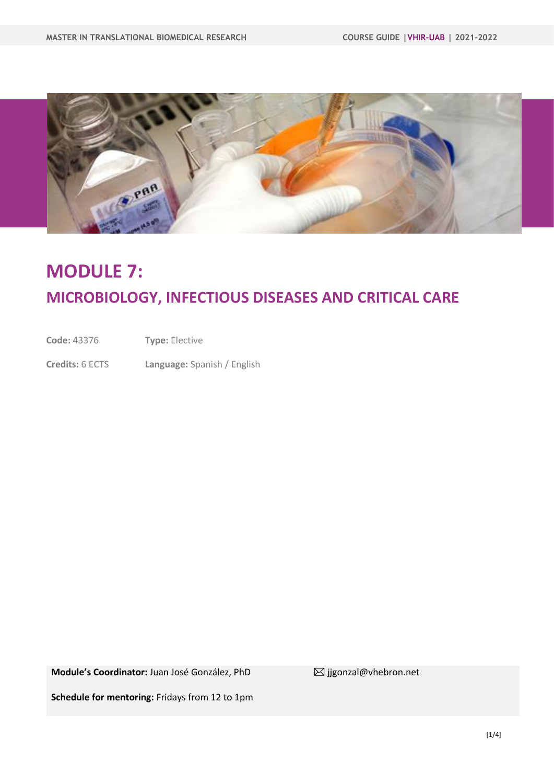

# **MODULE 7: MICROBIOLOGY, INFECTIOUS DISEASES AND CRITICAL CARE**

**Code:** 43376 **Type:** Elective

**Credits:** 6 ECTS **Language:** Spanish / English

**Module's Coordinator:** Juan José González, PhD <br>
<sub>
△</sub> **Module's Coordinator:** Juan José González, PhD <br>  $\blacksquare$  **igonzal@vhebron.net** 

**Schedule for mentoring:** Fridays from 12 to 1pm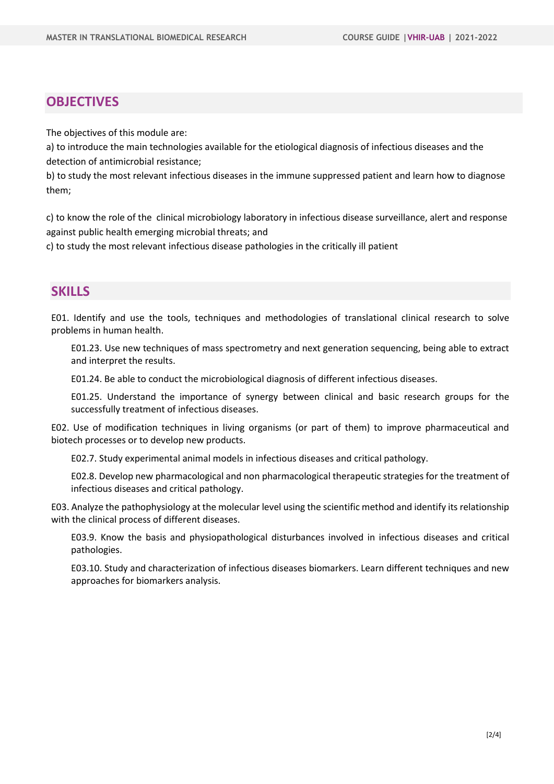### **OBJECTIVES**

The objectives of this module are:

a) to introduce the main technologies available for the etiological diagnosis of infectious diseases and the detection of antimicrobial resistance;

b) to study the most relevant infectious diseases in the immune suppressed patient and learn how to diagnose them;

c) to know the role of the clinical microbiology laboratory in infectious disease surveillance, alert and response against public health emerging microbial threats; and

c) to study the most relevant infectious disease pathologies in the critically ill patient

### **SKILLS**

E01. Identify and use the tools, techniques and methodologies of translational clinical research to solve problems in human health.

E01.23. Use new techniques of mass spectrometry and next generation sequencing, being able to extract and interpret the results.

E01.24. Be able to conduct the microbiological diagnosis of different infectious diseases.

E01.25. Understand the importance of synergy between clinical and basic research groups for the successfully treatment of infectious diseases.

E02. Use of modification techniques in living organisms (or part of them) to improve pharmaceutical and biotech processes or to develop new products.

E02.7. Study experimental animal models in infectious diseases and critical pathology.

E02.8. Develop new pharmacological and non pharmacological therapeutic strategies for the treatment of infectious diseases and critical pathology.

E03. Analyze the pathophysiology at the molecular level using the scientific method and identify its relationship with the clinical process of different diseases.

E03.9. Know the basis and physiopathological disturbances involved in infectious diseases and critical pathologies.

E03.10. Study and characterization of infectious diseases biomarkers. Learn different techniques and new approaches for biomarkers analysis.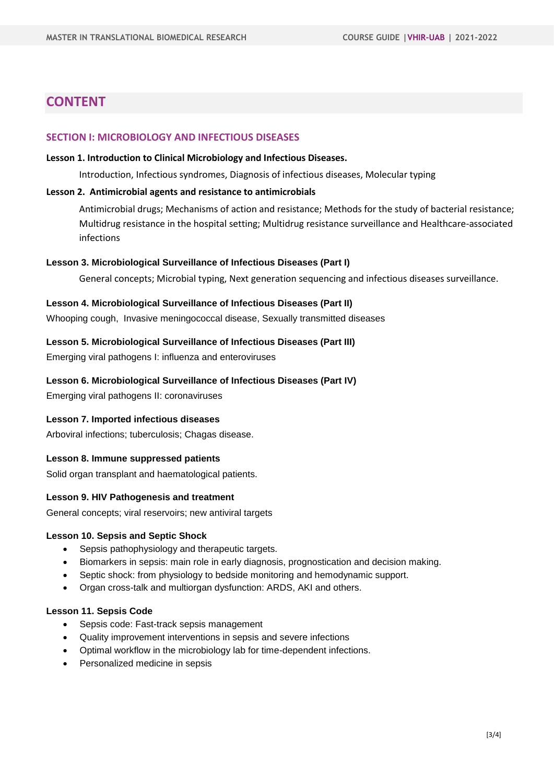### **CONTENT**

#### **SECTION I: MICROBIOLOGY AND INFECTIOUS DISEASES**

#### **Lesson 1. Introduction to Clinical Microbiology and Infectious Diseases.**

Introduction, Infectious syndromes, Diagnosis of infectious diseases, Molecular typing

#### **Lesson 2. Antimicrobial agents and resistance to antimicrobials**

Antimicrobial drugs; Mechanisms of action and resistance; Methods for the study of bacterial resistance; Multidrug resistance in the hospital setting; Multidrug resistance surveillance and Healthcare-associated infections

#### **Lesson 3. Microbiological Surveillance of Infectious Diseases (Part I)**

General concepts; Microbial typing, Next generation sequencing and infectious diseases surveillance.

#### **Lesson 4. Microbiological Surveillance of Infectious Diseases (Part II)**

Whooping cough, Invasive meningococcal disease, Sexually transmitted diseases

#### **Lesson 5. Microbiological Surveillance of Infectious Diseases (Part III)**

Emerging viral pathogens I: influenza and enteroviruses

#### **Lesson 6. Microbiological Surveillance of Infectious Diseases (Part IV)**

Emerging viral pathogens II: coronaviruses

#### **Lesson 7. Imported infectious diseases**

Arboviral infections; tuberculosis; Chagas disease.

#### **Lesson 8. Immune suppressed patients**

Solid organ transplant and haematological patients.

#### **Lesson 9. HIV Pathogenesis and treatment**

General concepts; viral reservoirs; new antiviral targets

#### **Lesson 10. Sepsis and Septic Shock**

- Sepsis pathophysiology and therapeutic targets.
- Biomarkers in sepsis: main role in early diagnosis, prognostication and decision making.
- Septic shock: from physiology to bedside monitoring and hemodynamic support.
- Organ cross-talk and multiorgan dysfunction: ARDS, AKI and others.

#### **Lesson 11. Sepsis Code**

- Sepsis code: Fast-track sepsis management
- Quality improvement interventions in sepsis and severe infections
- Optimal workflow in the microbiology lab for time-dependent infections.
- Personalized medicine in sepsis